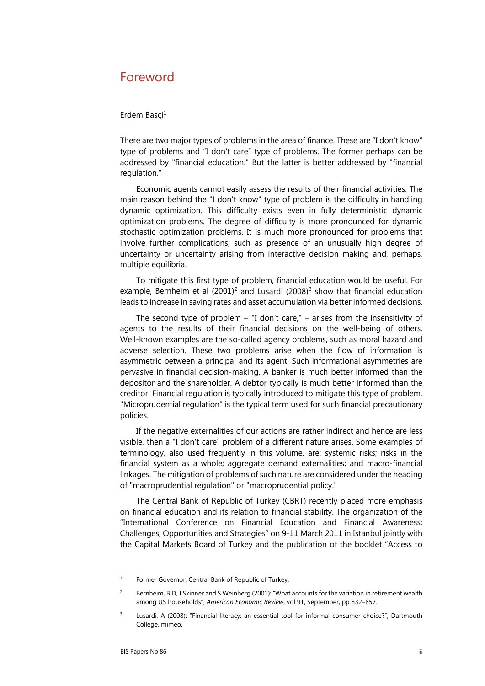## Foreword

## Erdem Basçi $1$

There are two major types of problems in the area of finance. These are "I don't know" type of problems and "I don't care" type of problems. The former perhaps can be addressed by "financial education." But the latter is better addressed by "financial regulation."

Economic agents cannot easily assess the results of their financial activities. The main reason behind the "I don't know" type of problem is the difficulty in handling dynamic optimization. This difficulty exists even in fully deterministic dynamic optimization problems. The degree of difficulty is more pronounced for dynamic stochastic optimization problems. It is much more pronounced for problems that involve further complications, such as presence of an unusually high degree of uncertainty or uncertainty arising from interactive decision making and, perhaps, multiple equilibria.

To mitigate this first type of problem, financial education would be useful. For example, Bernheim et al  $(2001)^2$  and Lusardi  $(2008)^3$  show that financial education leads to increase in saving rates and asset accumulation via better informed decisions.

The second type of problem  $-$  "I don't care,"  $-$  arises from the insensitivity of agents to the results of their financial decisions on the well-being of others. Well-known examples are the so-called agency problems, such as moral hazard and adverse selection. These two problems arise when the flow of information is asymmetric between a principal and its agent. Such informational asymmetries are pervasive in financial decision-making. A banker is much better informed than the depositor and the shareholder. A debtor typically is much better informed than the creditor. Financial regulation is typically introduced to mitigate this type of problem. "Microprudential regulation" is the typical term used for such financial precautionary policies.

If the negative externalities of our actions are rather indirect and hence are less visible, then a "I don't care" problem of a different nature arises. Some examples of terminology, also used frequently in this volume, are: systemic risks; risks in the financial system as a whole; aggregate demand externalities; and macro-financial linkages. The mitigation of problems of such nature are considered under the heading of "macroprudential regulation" or "macroprudential policy."

The Central Bank of Republic of Turkey (CBRT) recently placed more emphasis on financial education and its relation to financial stability. The organization of the "International Conference on Financial Education and Financial Awareness: Challenges, Opportunities and Strategies" on 9-11 March 2011 in Istanbul jointly with the Capital Markets Board of Turkey and the publication of the booklet "Access to

<sup>1</sup> Former Governor, Central Bank of Republic of Turkey.

 $\overline{2}$  Bernheim, B D, J Skinner and S Weinberg (2001): "What accounts for the variation in retirement wealth among US households", American Economic Review, vol 91, September, pp 832-857.

<span id="page-0-0"></span><sup>3</sup> Lusardi, A (2008): "Financial literacy: an essential tool for informal consumer choice?", Dartmouth College, mimeo.